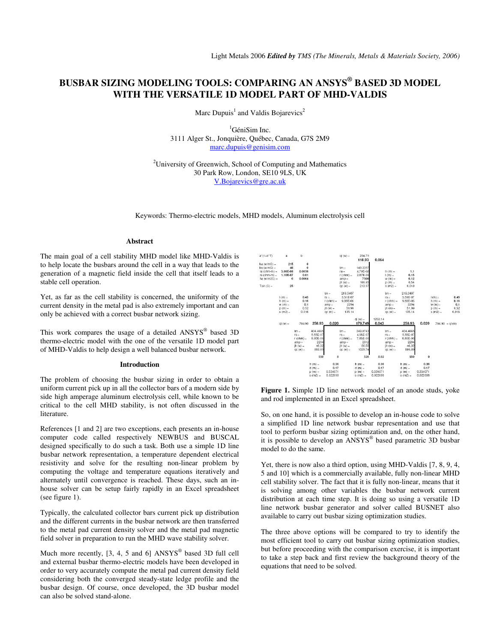# **BUSBAR SIZING MODELING TOOLS: COMPARING AN ANSYS® BASED 3D MODEL WITH THE VERSATILE 1D MODEL PART OF MHD-VALDIS**

Marc Dupuis<sup>1</sup> and Valdis Bojarevics<sup>2</sup>

<sup>1</sup>GéniSim Inc. 3111 Alger St., Jonquière, Québec, Canada, G7S 2M9 marc.dupuis@genisim.com

<sup>2</sup>University of Greenwich, School of Computing and Mathematics 30 Park Row, London, SE10 9LS, UK V.Bojarevics@gre.ac.uk

Keywords: Thermo-electric models, MHD models, Aluminum electrolysis cell

### **Abstract**

The main goal of a cell stability MHD model like MHD-Valdis is to help locate the busbars around the cell in a way that leads to the generation of a magnetic field inside the cell that itself leads to a stable cell operation.

Yet, as far as the cell stability is concerned, the uniformity of the current density in the metal pad is also extremely important and can only be achieved with a correct busbar network sizing.

This work compares the usage of a detailed ANSYS® based 3D thermo-electric model with the one of the versatile 1D model part of MHD-Valdis to help design a well balanced busbar network.

## **Introduction**

The problem of choosing the busbar sizing in order to obtain a uniform current pick up in all the collector bars of a modern side by side high amperage aluminum electrolysis cell, while known to be critical to the cell MHD stability, is not often discussed in the literature.

References [1 and 2] are two exceptions, each presents an in-house computer code called respectively NEWBUS and BUSCAL designed specifically to do such a task. Both use a simple 1D line busbar network representation, a temperature dependent electrical resistivity and solve for the resulting non-linear problem by computing the voltage and temperature equations iteratively and alternately until convergence is reached. These days, such an inhouse solver can be setup fairly rapidly in an Excel spreadsheet (see figure 1).

Typically, the calculated collector bars current pick up distribution and the different currents in the busbar network are then transferred to the metal pad current density solver and the metal pad magnetic field solver in preparation to run the MHD wave stability solver.

Much more recently, [3, 4, 5 and 6] ANSYS<sup>®</sup> based 3D full cell and external busbar thermo-electric models have been developed in order to very accurately compute the metal pad current density field considering both the converged steady-state ledge profile and the busbar design. Of course, once developed, the 3D busbar model can also be solved stand-alone.



**Figure 1.** Simple 1D line network model of an anode studs, yoke and rod implemented in an Excel spreadsheet.

So, on one hand, it is possible to develop an in-house code to solve a simplified 1D line network busbar representation and use that tool to perform busbar sizing optimization and, on the other hand, it is possible to develop an ANSYS® based parametric 3D busbar model to do the same.

Yet, there is now also a third option, using MHD-Valdis [7, 8, 9, 4, 5 and 10] which is a commercially available, fully non-linear MHD cell stability solver. The fact that it is fully non-linear, means that it is solving among other variables the busbar network current distribution at each time step. It is doing so using a versatile 1D line network busbar generator and solver called BUSNET also available to carry out busbar sizing optimization studies.

The three above options will be compared to try to identify the most efficient tool to carry out busbar sizing optimization studies, but before proceeding with the comparison exercise, it is important to take a step back and first review the background theory of the equations that need to be solved.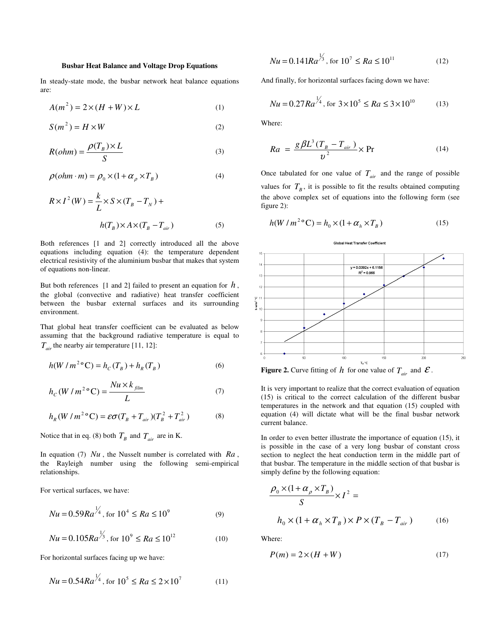#### **Busbar Heat Balance and Voltage Drop Equations**

In steady-state mode, the busbar network heat balance equations are:

$$
A(m2) = 2 \times (H + W) \times L \tag{1}
$$

$$
S(m^2) = H \times W \tag{2}
$$

$$
R(ohm) = \frac{\rho(T_B) \times L}{S}
$$
 (3)

$$
\rho(\text{ohm} \cdot \text{m}) = \rho_0 \times (1 + \alpha_{\rho} \times T_B) \tag{4}
$$

$$
R \times I^2(W) = \frac{k}{L} \times S \times (T_B - T_N) +
$$
  

$$
h(T_B) \times A \times (T_B - T_{air})
$$
 (5)

Both references [1 and 2] correctly introduced all the above equations including equation (4): the temperature dependent electrical resistivity of the aluminium busbar that makes that system of equations non-linear.

But both references [1 and 2] failed to present an equation for *h* , the global (convective and radiative) heat transfer coefficient between the busbar external surfaces and its surrounding environment.

That global heat transfer coefficient can be evaluated as below assuming that the background radiative temperature is equal to  $T_{\text{air}}$  the nearby air temperature [11, 12]:

$$
h(W/m^{2} \,^{\circ}\mathrm{C}) = h_{C}(T_{B}) + h_{R}(T_{B}) \tag{6}
$$

$$
h_C(W/m^{2} \,^{\circ}\mathrm{C}) = \frac{Nu \times k_{film}}{L} \tag{7}
$$

$$
h_R(W/m^2 \circ \mathbf{C}) = \varepsilon \sigma (T_B + T_{air})(T_B^2 + T_{air}^2)
$$
 (8)

Notice that in eq. (8) both  $T_B$  and  $T_{air}$  are in K.

In equation (7) *Nu* , the Nusselt number is correlated with *Ra* , the Rayleigh number using the following semi-empirical relationships.

For vertical surfaces, we have:

$$
Nu = 0.59Ra^{\frac{1}{4}}, \text{ for } 10^4 \le Ra \le 10^9 \tag{9}
$$

$$
Nu = 0.105Ra^{\frac{1}{3}}, \text{ for } 10^9 \le Ra \le 10^{12} \tag{10}
$$

For horizontal surfaces facing up we have:

$$
Nu = 0.54Ra^{\frac{1}{4}}, \text{ for } 10^5 \le Ra \le 2 \times 10^7 \tag{11}
$$

$$
Nu = 0.141Ra^{\frac{1}{3}}, \text{ for } 10^7 \le Ra \le 10^{11} \tag{12}
$$

And finally, for horizontal surfaces facing down we have:

$$
Nu = 0.27 Ra^{\frac{1}{4}}, \text{ for } 3 \times 10^5 \le Ra \le 3 \times 10^{10} \tag{13}
$$

Where:

$$
Ra = \frac{g\beta L^3 (T_B - T_{air})}{v^2} \times \text{Pr}
$$
 (14)

Once tabulated for one value of  $T_{\text{air}}$  and the range of possible values for  $T_B$ , it is possible to fit the results obtained computing the above complex set of equations into the following form (see figure 2):

$$
h(W/m^{2} \,^{\circ}\mathbf{C}) = h_0 \times (1 + \alpha_h \times T_B) \tag{15}
$$



**Figure 2.** Curve fitting of *h* for one value of  $T_{air}$  and  $\mathcal{E}$ .

It is very important to realize that the correct evaluation of equation (15) is critical to the correct calculation of the different busbar temperatures in the network and that equation (15) coupled with equation (4) will dictate what will be the final busbar network current balance.

In order to even better illustrate the importance of equation (15), it is possible in the case of a very long busbar of constant cross section to neglect the heat conduction term in the middle part of that busbar. The temperature in the middle section of that busbar is simply define by the following equation:

$$
\frac{\rho_0 \times (1 + \alpha_{\rho} \times T_B)}{S} \times I^2 =
$$
  

$$
h_0 \times (1 + \alpha_h \times T_B) \times P \times (T_B - T_{air})
$$
 (16)

Where:

$$
P(m) = 2 \times (H + W) \tag{17}
$$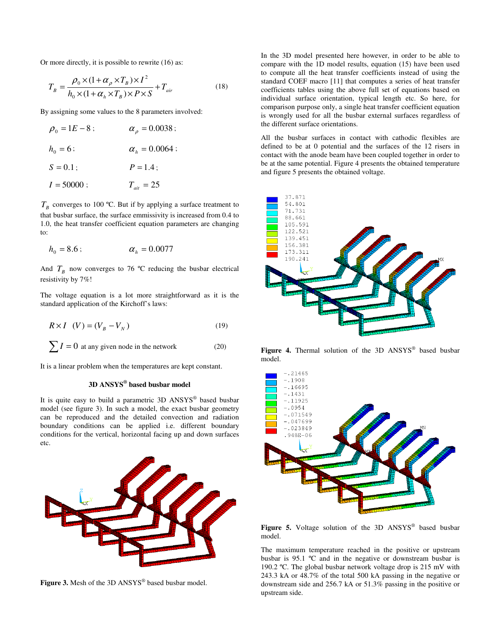Or more directly, it is possible to rewrite (16) as:

$$
T_B = \frac{\rho_0 \times (1 + \alpha_\rho \times T_B) \times I^2}{h_0 \times (1 + \alpha_h \times T_B) \times P \times S} + T_{air}
$$
 (18)

By assigning some values to the 8 parameters involved:

| $\rho_0 = 1E - 8$ ; | $\alpha_{\rho} = 0.0038$ ; |
|---------------------|----------------------------|
| $h_0 = 6$ ;         | $\alpha_h = 0.0064$ ;      |
| $S = 0.1$ ;         | $P = 1.4$ :                |
| $I = 50000;$        | $T_{\text{air}} = 25$      |

 $T_B$  converges to 100 °C. But if by applying a surface treatment to that busbar surface, the surface emmissivity is increased from 0.4 to 1.0, the heat transfer coefficient equation parameters are changing to:

$$
h_0 = 8.6 ; \t\t \t\t \alpha_h = 0.0077
$$

And  $T_B$  now converges to 76 °C reducing the busbar electrical resistivity by 7%!

The voltage equation is a lot more straightforward as it is the standard application of the Kirchoff's laws:

$$
R \times I \quad (V) = (V_B - V_N) \tag{19}
$$

$$
\sum I = 0
$$
 at any given node in the network (20)

It is a linear problem when the temperatures are kept constant.

# **3D ANSYS® based busbar model**

It is quite easy to build a parametric 3D ANSYS<sup>®</sup> based busbar model (see figure 3). In such a model, the exact busbar geometry can be reproduced and the detailed convection and radiation boundary conditions can be applied i.e. different boundary conditions for the vertical, horizontal facing up and down surfaces etc.



Figure 3. Mesh of the 3D ANSYS® based busbar model.

In the 3D model presented here however, in order to be able to compare with the 1D model results, equation (15) have been used to compute all the heat transfer coefficients instead of using the standard COEF macro [11] that computes a series of heat transfer coefficients tables using the above full set of equations based on individual surface orientation, typical length etc. So here, for comparison purpose only, a single heat transfer coefficient equation is wrongly used for all the busbar external surfaces regardless of the different surface orientations.

All the busbar surfaces in contact with cathodic flexibles are defined to be at 0 potential and the surfaces of the 12 risers in contact with the anode beam have been coupled together in order to be at the same potential. Figure 4 presents the obtained temperature and figure 5 presents the obtained voltage.



Figure 4. Thermal solution of the 3D ANSYS® based busbar model.



Figure 5. Voltage solution of the 3D ANSYS<sup>®</sup> based busbar model.

The maximum temperature reached in the positive or upstream busbar is 95.1 ºC and in the negative or downstream busbar is 190.2 ºC. The global busbar network voltage drop is 215 mV with 243.3 kA or 48.7% of the total 500 kA passing in the negative or downstream side and 256.7 kA or 51.3% passing in the positive or upstream side.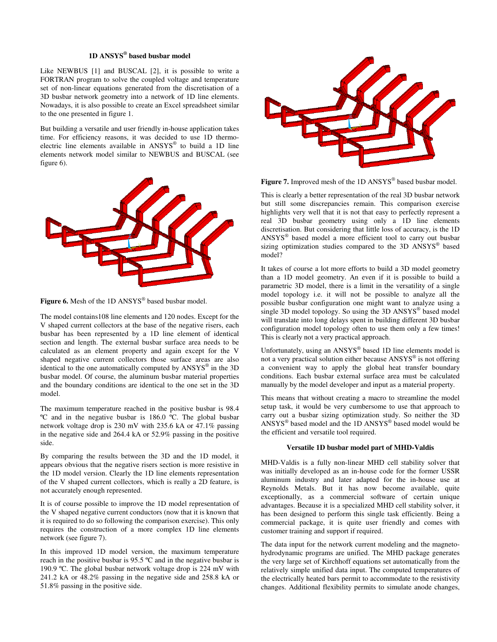# **1D ANSYS® based busbar model**

Like NEWBUS [1] and BUSCAL [2], it is possible to write a FORTRAN program to solve the coupled voltage and temperature set of non-linear equations generated from the discretisation of a 3D busbar network geometry into a network of 1D line elements. Nowadays, it is also possible to create an Excel spreadsheet similar to the one presented in figure 1.

But building a versatile and user friendly in-house application takes time. For efficiency reasons, it was decided to use 1D thermoelectric line elements available in ANSYS® to build a 1D line elements network model similar to NEWBUS and BUSCAL (see figure 6).



Figure 6. Mesh of the 1D ANSYS<sup>®</sup> based busbar model.

The model contains108 line elements and 120 nodes. Except for the V shaped current collectors at the base of the negative risers, each busbar has been represented by a 1D line element of identical section and length. The external busbar surface area needs to be calculated as an element property and again except for the V shaped negative current collectors those surface areas are also identical to the one automatically computed by ANSYS<sup>®</sup> in the 3D busbar model. Of course, the aluminum busbar material properties and the boundary conditions are identical to the one set in the 3D model.

The maximum temperature reached in the positive busbar is 98.4 ºC and in the negative busbar is 186.0 ºC. The global busbar network voltage drop is 230 mV with 235.6 kA or 47.1% passing in the negative side and 264.4 kA or 52.9% passing in the positive side.

By comparing the results between the 3D and the 1D model, it appears obvious that the negative risers section is more resistive in the 1D model version. Clearly the 1D line elements representation of the V shaped current collectors, which is really a 2D feature, is not accurately enough represented.

It is of course possible to improve the 1D model representation of the V shaped negative current conductors (now that it is known that it is required to do so following the comparison exercise). This only requires the construction of a more complex 1D line elements network (see figure 7).

In this improved 1D model version, the maximum temperature reach in the positive busbar is 95.5 ºC and in the negative busbar is 190.9 ºC. The global busbar network voltage drop is 224 mV with 241.2 kA or 48.2% passing in the negative side and 258.8 kA or 51.8% passing in the positive side.



Figure 7. Improved mesh of the 1D ANSYS<sup>®</sup> based busbar model.

This is clearly a better representation of the real 3D busbar network but still some discrepancies remain. This comparison exercise highlights very well that it is not that easy to perfectly represent a real 3D busbar geometry using only a 1D line elements discretisation. But considering that little loss of accuracy, is the 1D ANSYS® based model a more efficient tool to carry out busbar sizing optimization studies compared to the 3D ANSYS® based model?

It takes of course a lot more efforts to build a 3D model geometry than a 1D model geometry. An even if it is possible to build a parametric 3D model, there is a limit in the versatility of a single model topology i.e. it will not be possible to analyze all the possible busbar configuration one might want to analyze using a single 3D model topology. So using the 3D ANSYS® based model will translate into long delays spent in building different 3D busbar configuration model topology often to use them only a few times! This is clearly not a very practical approach.

Unfortunately, using an ANSYS® based 1D line elements model is not a very practical solution either because ANSYS® is not offering a convenient way to apply the global heat transfer boundary conditions. Each busbar external surface area must be calculated manually by the model developer and input as a material property.

This means that without creating a macro to streamline the model setup task, it would be very cumbersome to use that approach to carry out a busbar sizing optimization study. So neither the 3D ANSYS® based model and the 1D ANSYS® based model would be the efficient and versatile tool required.

## **Versatile 1D busbar model part of MHD-Valdis**

MHD-Valdis is a fully non-linear MHD cell stability solver that was initially developed as an in-house code for the former USSR aluminum industry and later adapted for the in-house use at Reynolds Metals. But it has now become available, quite exceptionally, as a commercial software of certain unique advantages. Because it is a specialized MHD cell stability solver, it has been designed to perform this single task efficiently. Being a commercial package, it is quite user friendly and comes with customer training and support if required.

The data input for the network current modeling and the magnetohydrodynamic programs are unified. The MHD package generates the very large set of Kirchhoff equations set automatically from the relatively simple unified data input. The computed temperatures of the electrically heated bars permit to accommodate to the resistivity changes. Additional flexibility permits to simulate anode changes,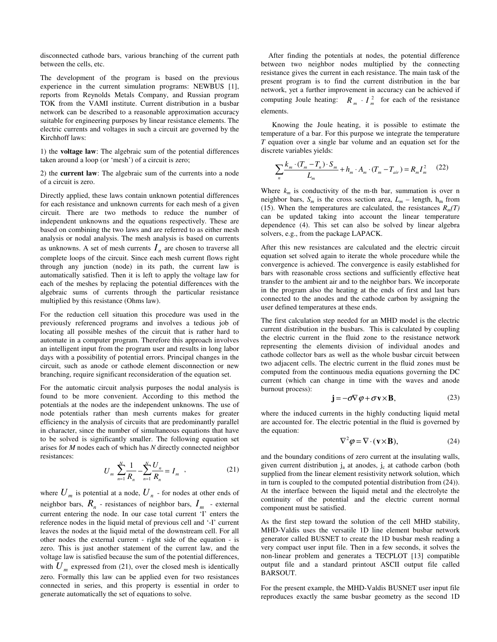disconnected cathode bars, various branching of the current path between the cells, etc.

The development of the program is based on the previous experience in the current simulation programs: NEWBUS [1], reports from Reynolds Metals Company, and Russian program TOK from the VAMI institute. Current distribution in a busbar network can be described to a reasonable approximation accuracy suitable for engineering purposes by linear resistance elements. The electric currents and voltages in such a circuit are governed by the Kirchhoff laws:

1) the **voltage law**: The algebraic sum of the potential differences taken around a loop (or 'mesh') of a circuit is zero;

2) the **current law**: The algebraic sum of the currents into a node of a circuit is zero.

Directly applied, these laws contain unknown potential differences for each resistance and unknown currents for each mesh of a given circuit. There are two methods to reduce the number of independent unknowns and the equations respectively. These are based on combining the two laws and are referred to as either mesh analysis or nodal analysis. The mesh analysis is based on currents as unknowns. A set of mesh currents  $I_n$  are chosen to traverse all complete loops of the circuit. Since each mesh current flows right through any junction (node) in its path, the current law is automatically satisfied. Then it is left to apply the voltage law for each of the meshes by replacing the potential differences with the algebraic sums of currents through the particular resistance multiplied by this resistance (Ohms law).

For the reduction cell situation this procedure was used in the previously referenced programs and involves a tedious job of locating all possible meshes of the circuit that is rather hard to automate in a computer program. Therefore this approach involves an intelligent input from the program user and results in long labor days with a possibility of potential errors. Principal changes in the circuit, such as anode or cathode element disconnection or new branching, require significant reconsideration of the equation set.

For the automatic circuit analysis purposes the nodal analysis is found to be more convenient. According to this method the potentials at the nodes are the independent unknowns. The use of node potentials rather than mesh currents makes for greater efficiency in the analysis of circuits that are predominantly parallel in character, since the number of simultaneous equations that have to be solved is significantly smaller. The following equation set arises for *M* nodes each of which has *N* directly connected neighbor resistances:

$$
U_m \sum_{n=1}^{N} \frac{1}{R_n} - \sum_{n=1}^{N} \frac{U_n}{R_n} = I_m \quad , \tag{21}
$$

where  $U_m$  is potential at a node,  $U_n$  - for nodes at other ends of neighbor bars,  $R_n$  - resistances of neighbor bars,  $I_m$  - external current entering the node. In our case total current 'I' enters the reference nodes in the liquid metal of previous cell and '-I' current leaves the nodes at the liquid metal of the downstream cell. For all other nodes the external current - right side of the equation - is zero. This is just another statement of the current law, and the voltage law is satisfied because the sum of the potential differences, with  $U_m$  expressed from (21), over the closed mesh is identically zero. Formally this law can be applied even for two resistances connected in series, and this property is essential in order to generate automatically the set of equations to solve.

 After finding the potentials at nodes, the potential difference between two neighbor nodes multiplied by the connecting resistance gives the current in each resistance. The main task of the present program is to find the current distribution in the bar network, yet a further improvement in accuracy can be achieved if computing Joule heating:  $R_m \cdot I_m^2$  for each of the resistance elements.

 Knowing the Joule heating, it is possible to estimate the temperature of a bar. For this purpose we integrate the temperature *T* equation over a single bar volume and an equation set for the discrete variables yields:

$$
\sum_{n} \frac{k_m \cdot (T_m - T_n) \cdot S_m}{L_m} + h_m \cdot A_m \cdot (T_m - T_{air}) = R_m I_m^2 \quad (22)
$$

Where  $k_m$  is conductivity of the m-th bar, summation is over n neighbor bars,  $S_m$  is the cross section area,  $L_m$  – length,  $h_m$  from (15). When the temperatures are calculated, the resistances  $R_m(T)$ can be updated taking into account the linear temperature dependence (4). This set can also be solved by linear algebra solvers, e.g., from the package LAPACK.

After this new resistances are calculated and the electric circuit equation set solved again to iterate the whole procedure while the convergence is achieved. The convergence is easily established for bars with reasonable cross sections and sufficiently effective heat transfer to the ambient air and to the neighbor bars. We incorporate in the program also the heating at the ends of first and last bars connected to the anodes and the cathode carbon by assigning the user defined temperatures at these ends.

The first calculation step needed for an MHD model is the electric current distribution in the busbars. This is calculated by coupling the electric current in the fluid zone to the resistance network representing the elements division of individual anodes and cathode collector bars as well as the whole busbar circuit between two adjacent cells. The electric current in the fluid zones must be computed from the continuous media equations governing the DC current (which can change in time with the waves and anode burnout process):

$$
\mathbf{j} = -\sigma \nabla \varphi + \sigma \mathbf{v} \times \mathbf{B},\tag{23}
$$

where the induced currents in the highly conducting liquid metal are accounted for. The electric potential in the fluid is governed by the equation:

$$
\nabla^2 \varphi = \nabla \cdot (\mathbf{v} \times \mathbf{B}),\tag{24}
$$

and the boundary conditions of zero current at the insulating walls, given current distribution  $j_a$  at anodes,  $j_c$  at cathode carbon (both supplied from the linear element resistivity network solution, which in turn is coupled to the computed potential distribution from (24)). At the interface between the liquid metal and the electrolyte the continuity of the potential and the electric current normal component must be satisfied.

As the first step toward the solution of the cell MHD stability, MHD-Valdis uses the versatile 1D line element busbar network generator called BUSNET to create the 1D busbar mesh reading a very compact user input file. Then in a few seconds, it solves the non-linear problem and generates a TECPLOT [13] compatible output file and a standard printout ASCII output file called BARSOUT.

For the present example, the MHD-Valdis BUSNET user input file reproduces exactly the same busbar geometry as the second 1D